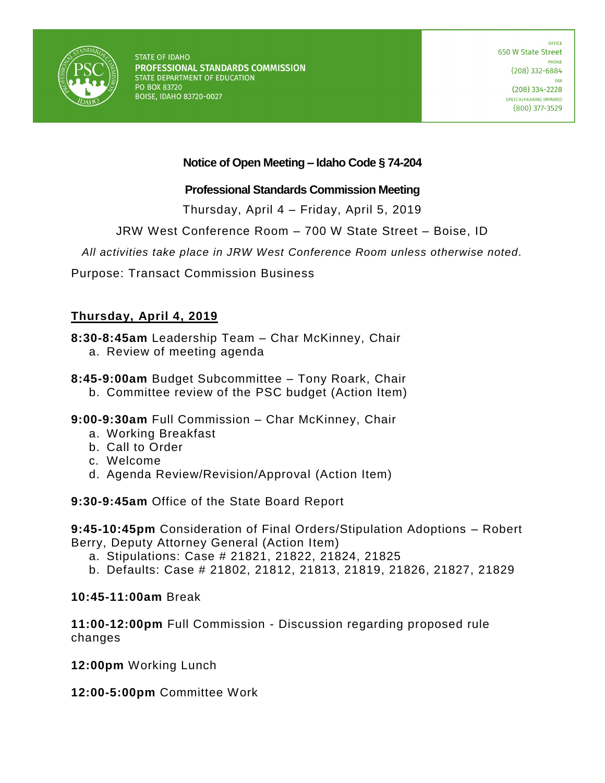

**STATE OF IDAHO** PROFESSIONAL STANDARDS COMMISSION STATE DEPARTMENT OF EDUCATION PO BOX 83720 **BOISE, IDAHO 83720-0027** 

## **Notice of Open Meeting – Idaho Code § 74-204**

#### **Professional Standards Commission Meeting**

Thursday, April 4 – Friday, April 5, 2019

JRW West Conference Room – 700 W State Street – Boise, ID

*All activities take place in JRW West Conference Room unless otherwise noted.*

Purpose: Transact Commission Business

### **Thursday, April 4, 2019**

**8:30-8:45am** Leadership Team – Char McKinney, Chair

- a. Review of meeting agenda
- **8:45-9:00am** Budget Subcommittee Tony Roark, Chair
	- b. Committee review of the PSC budget (Action Item)
- **9:00-9:30am** Full Commission Char McKinney, Chair
	- a. Working Breakfast
	- b. Call to Order
	- c. Welcome
	- d. Agenda Review/Revision/Approval (Action Item)

**9:30-9:45am** Office of the State Board Report

**9:45-10:45pm** Consideration of Final Orders/Stipulation Adoptions – Robert Berry, Deputy Attorney General (Action Item)

- a. Stipulations: Case # 21821, 21822, 21824, 21825
- b. Defaults: Case # 21802, 21812, 21813, 21819, 21826, 21827, 21829

#### **10:45-11:00am** Break

**11:00-12:00pm** Full Commission - Discussion regarding proposed rule changes

**12:00pm** Working Lunch

**12:00-5:00pm** Committee Work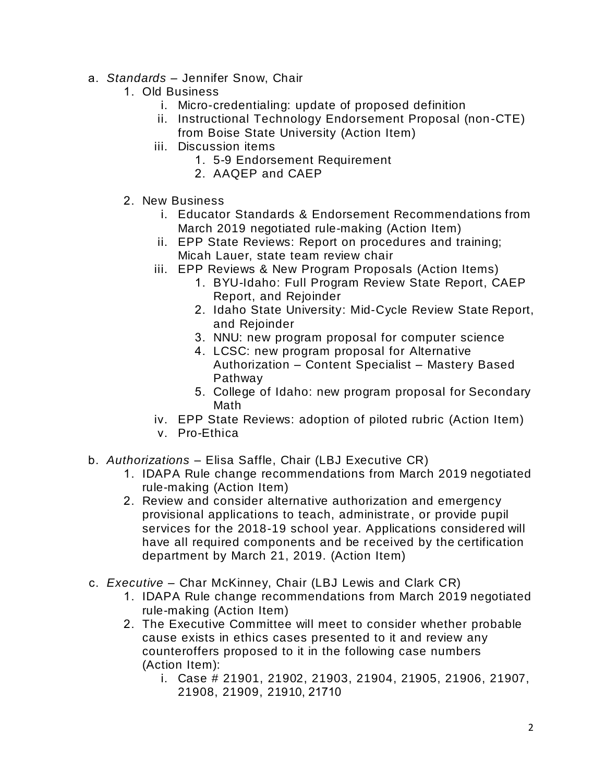- a. *Standards*  Jennifer Snow, Chair
	- 1. Old Business
		- i. Micro-credentialing: update of proposed definition
		- ii. Instructional Technology Endorsement Proposal (non-CTE)
			- from Boise State University (Action Item)
		- iii. Discussion items
			- 1. 5-9 Endorsement Requirement
			- 2. AAQEP and CAEP
	- 2. New Business
		- i. Educator Standards & Endorsement Recommendations from March 2019 negotiated rule-making (Action Item)
		- ii. EPP State Reviews: Report on procedures and training; Micah Lauer, state team review chair
		- iii. EPP Reviews & New Program Proposals (Action Items)
			- 1. BYU-Idaho: Full Program Review State Report, CAEP Report, and Rejoinder
			- 2. Idaho State University: Mid-Cycle Review State Report, and Rejoinder
			- 3. NNU: new program proposal for computer science
			- 4. LCSC: new program proposal for Alternative Authorization – Content Specialist – Mastery Based Pathway
			- 5. College of Idaho: new program proposal for Secondary Math
		- iv. EPP State Reviews: adoption of piloted rubric (Action Item)
		- v. Pro-Ethica
- b. *Authorizations*  Elisa Saffle, Chair (LBJ Executive CR)
	- 1. IDAPA Rule change recommendations from March 2019 negotiated rule-making (Action Item)
	- 2. Review and consider alternative authorization and emergency provisional applications to teach, administrate, or provide pupil services for the 2018-19 school year. Applications considered will have all required components and be received by the certification department by March 21, 2019. (Action Item)
- c. *Executive* Char McKinney, Chair (LBJ Lewis and Clark CR)
	- 1. IDAPA Rule change recommendations from March 2019 negotiated rule-making (Action Item)
	- 2. The Executive Committee will meet to consider whether probable cause exists in ethics cases presented to it and review any counteroffers proposed to it in the following case numbers (Action Item):
		- i. Case # 21901, 21902, 21903, 21904, 21905, 21906, 21907, 21908, 21909, 21910, 21710